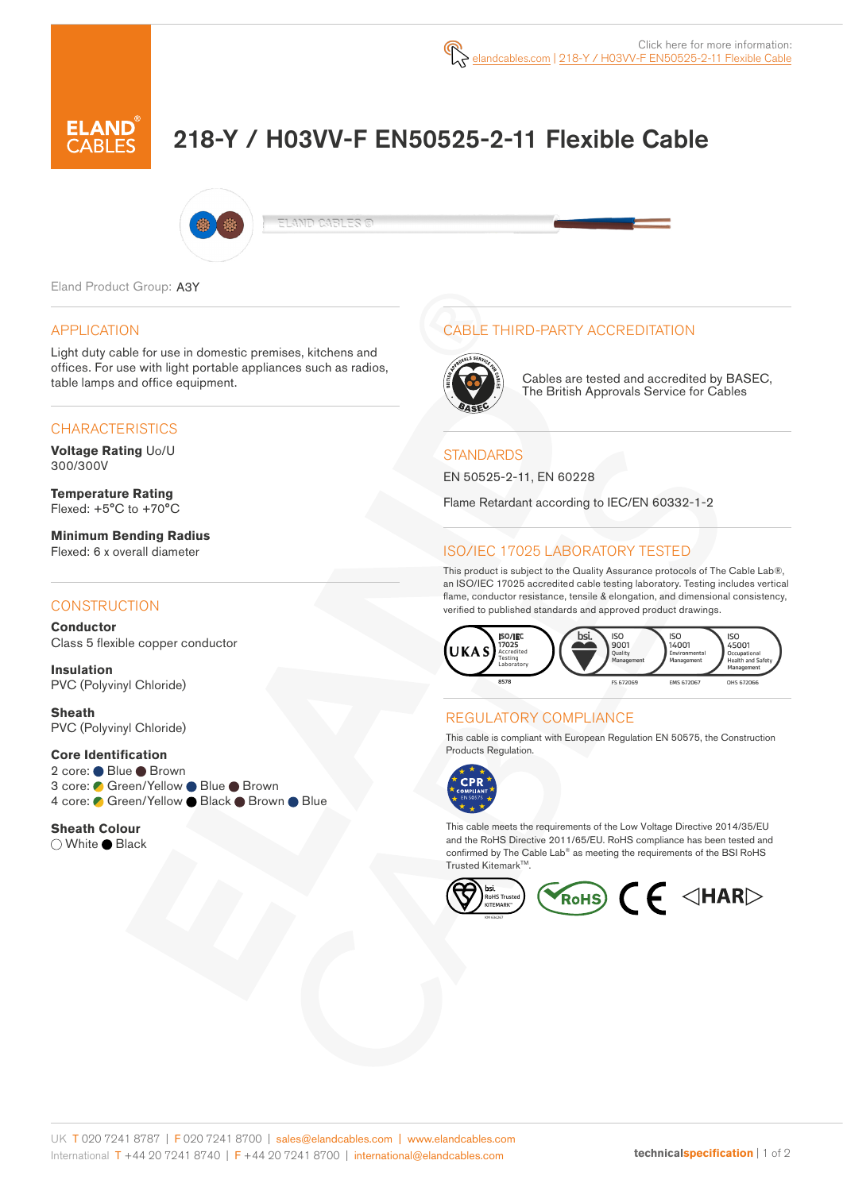# 218-Y / H03VV-F EN50525-2-11 Flexible Cable



ELAND CABLES ©

Eland Product Group: A3Y

#### APPLICATION

Light duty cable for use in domestic premises, kitchens and offices. For use with light portable appliances such as radios, table lamps and office equipment.

#### **CHARACTERISTICS**

**Voltage Rating** Uo/U 300/300V

**Temperature Rating** Flexed: +5°C to +70°C

**Minimum Bending Radius**  Flexed: 6 x overall diameter

#### **CONSTRUCTION**

**Conductor** Class 5 flexible copper conductor

**Insulation** PVC (Polyvinyl Chloride)

**Sheath** PVC (Polyvinyl Chloride)

#### **Core Identification**

2 core: ● Blue ● Brown 3 core: ● Green/Yellow ● Blue ● Brown 4 core: Green/Yellow Black Brown Blue

#### **Sheath Colour** ○ White ● Black

# CABLE THIRD-PARTY ACCREDITATION



Cables are tested and accredited by BASEC, The British Approvals Service for Cables

#### **STANDARDS**

EN 50525-2-11, EN 60228

Flame Retardant according to IEC/EN 60332-1-2

#### ISO/IEC 17025 LABORATORY TESTED

This product is subject to the Quality Assurance protocols of The Cable Lab®, an ISO/IEC 17025 accredited cable testing laboratory. Testing includes vertical flame, conductor resistance, tensile & elongation, and dimensional consistency, verified to published standards and approved product drawings.



## REGULATORY COMPLIANCE

This cable is compliant with European Regulation EN 50575, the Construction Products Regulation.



This cable meets the requirements of the Low Voltage Directive 2014/35/EU and the RoHS Directive 2011/65/EU. RoHS compliance has been tested and confirmed by The Cable Lab® as meeting the requirements of the BSI RoHS Trusted Kitemark™.